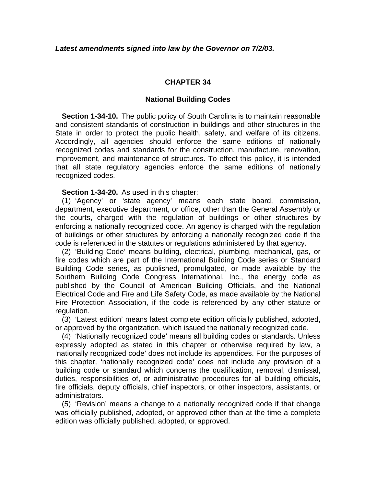## **CHAPTER 34**

## **National Building Codes**

**Section 1-34-10.** The public policy of South Carolina is to maintain reasonable and consistent standards of construction in buildings and other structures in the State in order to protect the public health, safety, and welfare of its citizens. Accordingly, all agencies should enforce the same editions of nationally recognized codes and standards for the construction, manufacture, renovation, improvement, and maintenance of structures. To effect this policy, it is intended that all state regulatory agencies enforce the same editions of nationally recognized codes.

**Section 1-34-20.** As used in this chapter:

 (1) 'Agency' or 'state agency' means each state board, commission, department, executive department, or office, other than the General Assembly or the courts, charged with the regulation of buildings or other structures by enforcing a nationally recognized code. An agency is charged with the regulation of buildings or other structures by enforcing a nationally recognized code if the code is referenced in the statutes or regulations administered by that agency.

 (2) 'Building Code' means building, electrical, plumbing, mechanical, gas, or fire codes which are part of the International Building Code series or Standard Building Code series, as published, promulgated, or made available by the Southern Building Code Congress International, Inc., the energy code as published by the Council of American Building Officials, and the National Electrical Code and Fire and Life Safety Code, as made available by the National Fire Protection Association, if the code is referenced by any other statute or regulation.

 (3) 'Latest edition' means latest complete edition officially published, adopted, or approved by the organization, which issued the nationally recognized code.

 (4) 'Nationally recognized code' means all building codes or standards. Unless expressly adopted as stated in this chapter or otherwise required by law, a 'nationally recognized code' does not include its appendices. For the purposes of this chapter, 'nationally recognized code' does not include any provision of a building code or standard which concerns the qualification, removal, dismissal, duties, responsibilities of, or administrative procedures for all building officials, fire officials, deputy officials, chief inspectors, or other inspectors, assistants, or administrators.

 (5) 'Revision' means a change to a nationally recognized code if that change was officially published, adopted, or approved other than at the time a complete edition was officially published, adopted, or approved.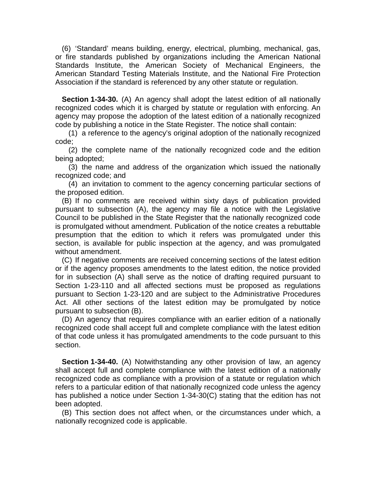(6) 'Standard' means building, energy, electrical, plumbing, mechanical, gas, or fire standards published by organizations including the American National Standards Institute, the American Society of Mechanical Engineers, the American Standard Testing Materials Institute, and the National Fire Protection Association if the standard is referenced by any other statute or regulation.

**Section 1-34-30.** (A) An agency shall adopt the latest edition of all nationally recognized codes which it is charged by statute or regulation with enforcing. An agency may propose the adoption of the latest edition of a nationally recognized code by publishing a notice in the State Register. The notice shall contain:

 (1) a reference to the agency's original adoption of the nationally recognized code;

 (2) the complete name of the nationally recognized code and the edition being adopted;

 (3) the name and address of the organization which issued the nationally recognized code; and

 (4) an invitation to comment to the agency concerning particular sections of the proposed edition.

 (B) If no comments are received within sixty days of publication provided pursuant to subsection (A), the agency may file a notice with the Legislative Council to be published in the State Register that the nationally recognized code is promulgated without amendment. Publication of the notice creates a rebuttable presumption that the edition to which it refers was promulgated under this section, is available for public inspection at the agency, and was promulgated without amendment.

 (C) If negative comments are received concerning sections of the latest edition or if the agency proposes amendments to the latest edition, the notice provided for in subsection (A) shall serve as the notice of drafting required pursuant to Section 1-23-110 and all affected sections must be proposed as regulations pursuant to Section 1-23-120 and are subject to the Administrative Procedures Act. All other sections of the latest edition may be promulgated by notice pursuant to subsection (B).

 (D) An agency that requires compliance with an earlier edition of a nationally recognized code shall accept full and complete compliance with the latest edition of that code unless it has promulgated amendments to the code pursuant to this section.

**Section 1-34-40.** (A) Notwithstanding any other provision of law, an agency shall accept full and complete compliance with the latest edition of a nationally recognized code as compliance with a provision of a statute or regulation which refers to a particular edition of that nationally recognized code unless the agency has published a notice under Section 1-34-30(C) stating that the edition has not been adopted.

 (B) This section does not affect when, or the circumstances under which, a nationally recognized code is applicable.